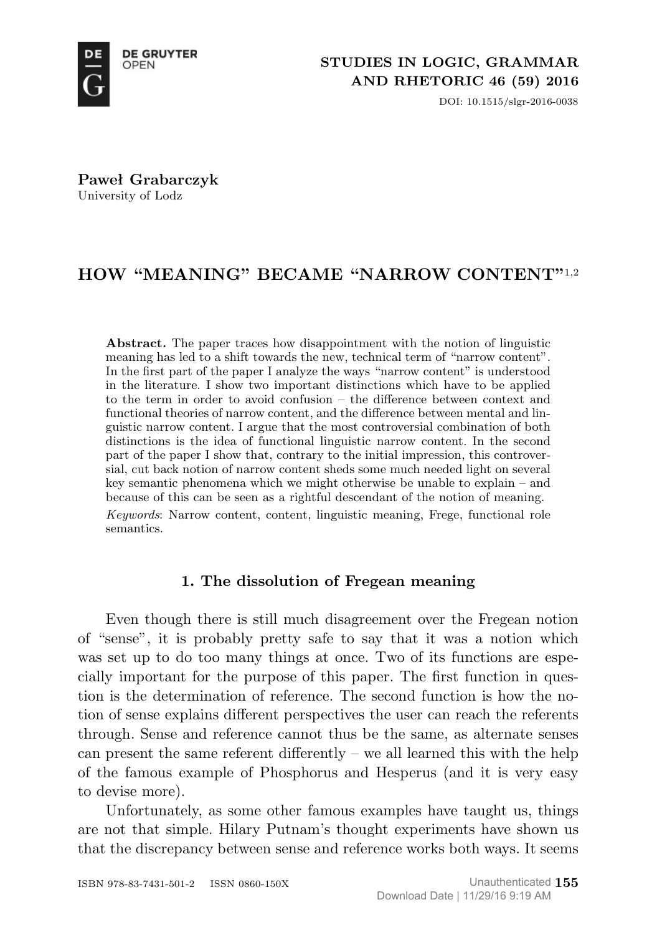

DOI: 10.1515/slgr-2016-0038

**Paweł Grabarczyk** University of Lodz

# **HOW "MEANING" BECAME "NARROW CONTENT"**1,2

**Abstract.** The paper traces how disappointment with the notion of linguistic meaning has led to a shift towards the new, technical term of "narrow content". In the first part of the paper I analyze the ways "narrow content" is understood in the literature. I show two important distinctions which have to be applied to the term in order to avoid confusion – the difference between context and functional theories of narrow content, and the difference between mental and linguistic narrow content. I argue that the most controversial combination of both distinctions is the idea of functional linguistic narrow content. In the second part of the paper I show that, contrary to the initial impression, this controversial, cut back notion of narrow content sheds some much needed light on several key semantic phenomena which we might otherwise be unable to explain – and because of this can be seen as a rightful descendant of the notion of meaning.

*Keywords*: Narrow content, content, linguistic meaning, Frege, functional role semantics.

## **1. The dissolution of Fregean meaning**

Even though there is still much disagreement over the Fregean notion of "sense", it is probably pretty safe to say that it was a notion which was set up to do too many things at once. Two of its functions are especially important for the purpose of this paper. The first function in question is the determination of reference. The second function is how the notion of sense explains different perspectives the user can reach the referents through. Sense and reference cannot thus be the same, as alternate senses can present the same referent differently – we all learned this with the help of the famous example of Phosphorus and Hesperus (and it is very easy to devise more).

Unfortunately, as some other famous examples have taught us, things are not that simple. Hilary Putnam's thought experiments have shown us that the discrepancy between sense and reference works both ways. It seems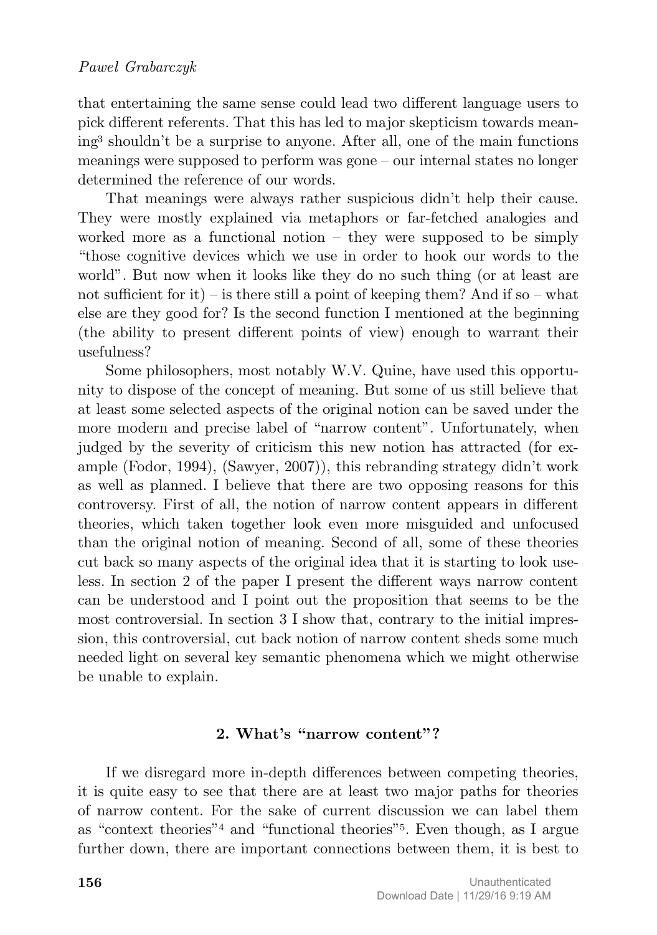that entertaining the same sense could lead two different language users to pick different referents. That this has led to major skepticism towards meaning<sup>3</sup> shouldn't be a surprise to anyone. After all, one of the main functions meanings were supposed to perform was gone – our internal states no longer determined the reference of our words.

That meanings were always rather suspicious didn't help their cause. They were mostly explained via metaphors or far-fetched analogies and worked more as a functional notion – they were supposed to be simply "those cognitive devices which we use in order to hook our words to the world". But now when it looks like they do no such thing (or at least are not sufficient for it) – is there still a point of keeping them? And if so – what else are they good for? Is the second function I mentioned at the beginning (the ability to present different points of view) enough to warrant their usefulness?

Some philosophers, most notably W.V. Quine, have used this opportunity to dispose of the concept of meaning. But some of us still believe that at least some selected aspects of the original notion can be saved under the more modern and precise label of "narrow content". Unfortunately, when judged by the severity of criticism this new notion has attracted (for example (Fodor, 1994), (Sawyer, 2007)), this rebranding strategy didn't work as well as planned. I believe that there are two opposing reasons for this controversy. First of all, the notion of narrow content appears in different theories, which taken together look even more misguided and unfocused than the original notion of meaning. Second of all, some of these theories cut back so many aspects of the original idea that it is starting to look useless. In section 2 of the paper I present the different ways narrow content can be understood and I point out the proposition that seems to be the most controversial. In section 3 I show that, contrary to the initial impression, this controversial, cut back notion of narrow content sheds some much needed light on several key semantic phenomena which we might otherwise be unable to explain.

### **2. What's "narrow content"?**

If we disregard more in-depth differences between competing theories, it is quite easy to see that there are at least two major paths for theories of narrow content. For the sake of current discussion we can label them as "context theories"<sup>4</sup> and "functional theories"5. Even though, as I argue further down, there are important connections between them, it is best to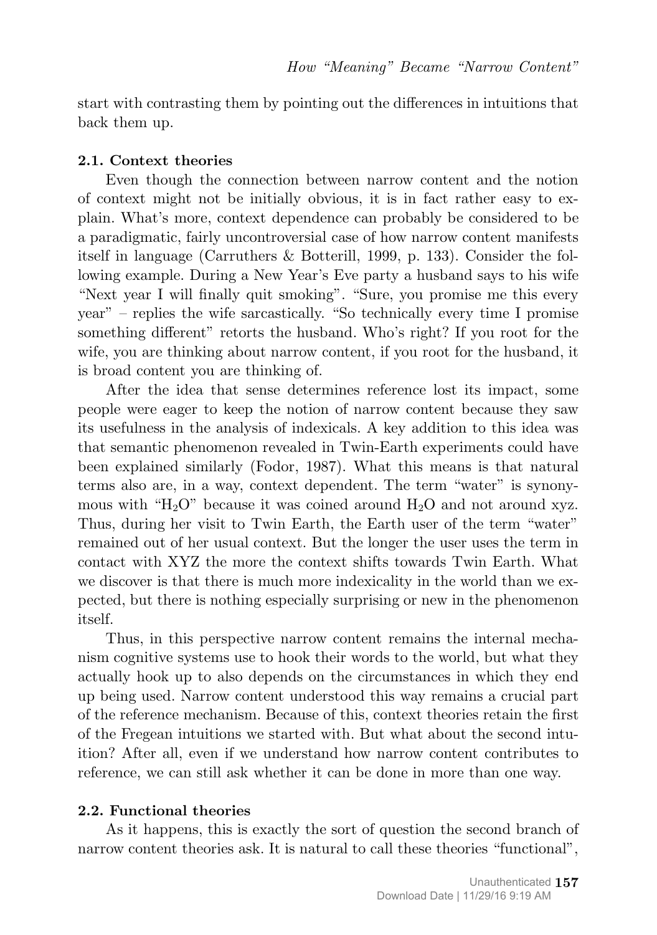start with contrasting them by pointing out the differences in intuitions that back them up.

#### **2.1. Context theories**

Even though the connection between narrow content and the notion of context might not be initially obvious, it is in fact rather easy to explain. What's more, context dependence can probably be considered to be a paradigmatic, fairly uncontroversial case of how narrow content manifests itself in language (Carruthers & Botterill, 1999, p. 133). Consider the following example. During a New Year's Eve party a husband says to his wife "Next year I will finally quit smoking". "Sure, you promise me this every year" – replies the wife sarcastically. "So technically every time I promise something different" retorts the husband. Who's right? If you root for the wife, you are thinking about narrow content, if you root for the husband, it is broad content you are thinking of.

After the idea that sense determines reference lost its impact, some people were eager to keep the notion of narrow content because they saw its usefulness in the analysis of indexicals. A key addition to this idea was that semantic phenomenon revealed in Twin-Earth experiments could have been explained similarly (Fodor, 1987). What this means is that natural terms also are, in a way, context dependent. The term "water" is synonymous with "H<sub>2</sub>O" because it was coined around H<sub>2</sub>O and not around xyz. Thus, during her visit to Twin Earth, the Earth user of the term "water" remained out of her usual context. But the longer the user uses the term in contact with XYZ the more the context shifts towards Twin Earth. What we discover is that there is much more indexicality in the world than we expected, but there is nothing especially surprising or new in the phenomenon itself.

Thus, in this perspective narrow content remains the internal mechanism cognitive systems use to hook their words to the world, but what they actually hook up to also depends on the circumstances in which they end up being used. Narrow content understood this way remains a crucial part of the reference mechanism. Because of this, context theories retain the first of the Fregean intuitions we started with. But what about the second intuition? After all, even if we understand how narrow content contributes to reference, we can still ask whether it can be done in more than one way.

#### **2.2. Functional theories**

As it happens, this is exactly the sort of question the second branch of narrow content theories ask. It is natural to call these theories "functional",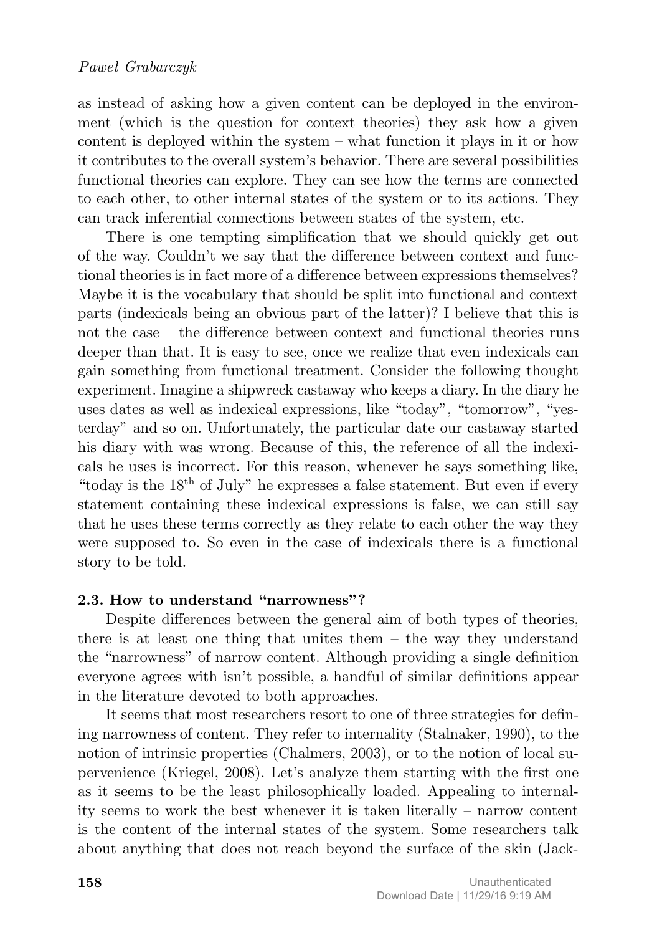as instead of asking how a given content can be deployed in the environment (which is the question for context theories) they ask how a given content is deployed within the system – what function it plays in it or how it contributes to the overall system's behavior. There are several possibilities functional theories can explore. They can see how the terms are connected to each other, to other internal states of the system or to its actions. They can track inferential connections between states of the system, etc.

There is one tempting simplification that we should quickly get out of the way. Couldn't we say that the difference between context and functional theories is in fact more of a difference between expressions themselves? Maybe it is the vocabulary that should be split into functional and context parts (indexicals being an obvious part of the latter)? I believe that this is not the case – the difference between context and functional theories runs deeper than that. It is easy to see, once we realize that even indexicals can gain something from functional treatment. Consider the following thought experiment. Imagine a shipwreck castaway who keeps a diary. In the diary he uses dates as well as indexical expressions, like "today", "tomorrow", "yesterday" and so on. Unfortunately, the particular date our castaway started his diary with was wrong. Because of this, the reference of all the indexicals he uses is incorrect. For this reason, whenever he says something like, "today is the  $18<sup>th</sup>$  of July" he expresses a false statement. But even if every statement containing these indexical expressions is false, we can still say that he uses these terms correctly as they relate to each other the way they were supposed to. So even in the case of indexicals there is a functional story to be told.

## **2.3. How to understand "narrowness"?**

Despite differences between the general aim of both types of theories, there is at least one thing that unites them – the way they understand the "narrowness" of narrow content. Although providing a single definition everyone agrees with isn't possible, a handful of similar definitions appear in the literature devoted to both approaches.

It seems that most researchers resort to one of three strategies for defining narrowness of content. They refer to internality (Stalnaker, 1990), to the notion of intrinsic properties (Chalmers, 2003), or to the notion of local supervenience (Kriegel, 2008). Let's analyze them starting with the first one as it seems to be the least philosophically loaded. Appealing to internality seems to work the best whenever it is taken literally – narrow content is the content of the internal states of the system. Some researchers talk about anything that does not reach beyond the surface of the skin (Jack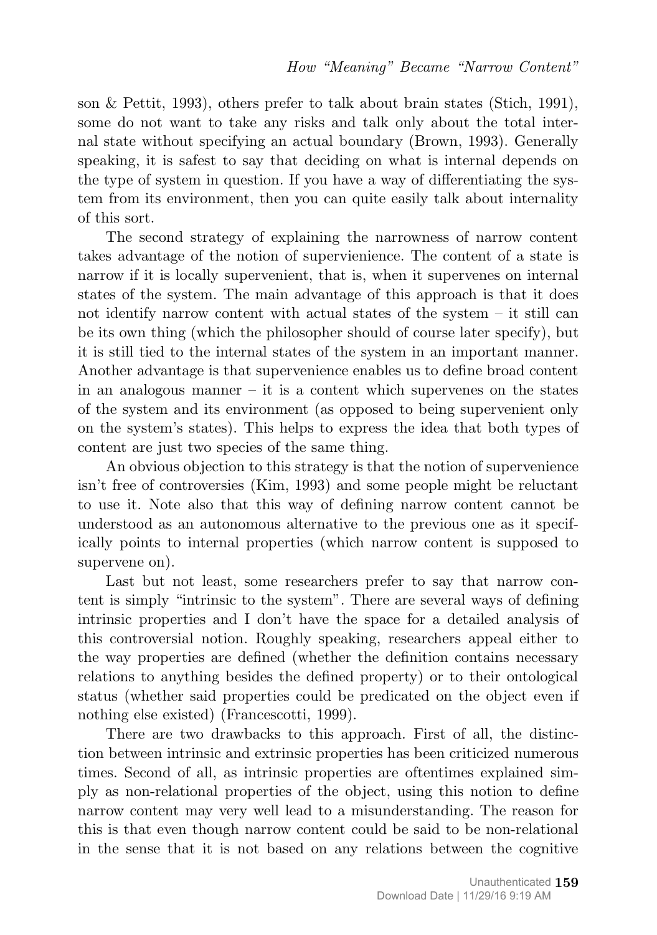son & Pettit, 1993), others prefer to talk about brain states (Stich, 1991), some do not want to take any risks and talk only about the total internal state without specifying an actual boundary (Brown, 1993). Generally speaking, it is safest to say that deciding on what is internal depends on the type of system in question. If you have a way of differentiating the system from its environment, then you can quite easily talk about internality of this sort.

The second strategy of explaining the narrowness of narrow content takes advantage of the notion of supervienience. The content of a state is narrow if it is locally supervenient, that is, when it supervenes on internal states of the system. The main advantage of this approach is that it does not identify narrow content with actual states of the system – it still can be its own thing (which the philosopher should of course later specify), but it is still tied to the internal states of the system in an important manner. Another advantage is that supervenience enables us to define broad content in an analogous manner  $-$  it is a content which supervenes on the states of the system and its environment (as opposed to being supervenient only on the system's states). This helps to express the idea that both types of content are just two species of the same thing.

An obvious objection to this strategy is that the notion of supervenience isn't free of controversies (Kim, 1993) and some people might be reluctant to use it. Note also that this way of defining narrow content cannot be understood as an autonomous alternative to the previous one as it specifically points to internal properties (which narrow content is supposed to supervene on).

Last but not least, some researchers prefer to say that narrow content is simply "intrinsic to the system". There are several ways of defining intrinsic properties and I don't have the space for a detailed analysis of this controversial notion. Roughly speaking, researchers appeal either to the way properties are defined (whether the definition contains necessary relations to anything besides the defined property) or to their ontological status (whether said properties could be predicated on the object even if nothing else existed) (Francescotti, 1999).

There are two drawbacks to this approach. First of all, the distinction between intrinsic and extrinsic properties has been criticized numerous times. Second of all, as intrinsic properties are oftentimes explained simply as non-relational properties of the object, using this notion to define narrow content may very well lead to a misunderstanding. The reason for this is that even though narrow content could be said to be non-relational in the sense that it is not based on any relations between the cognitive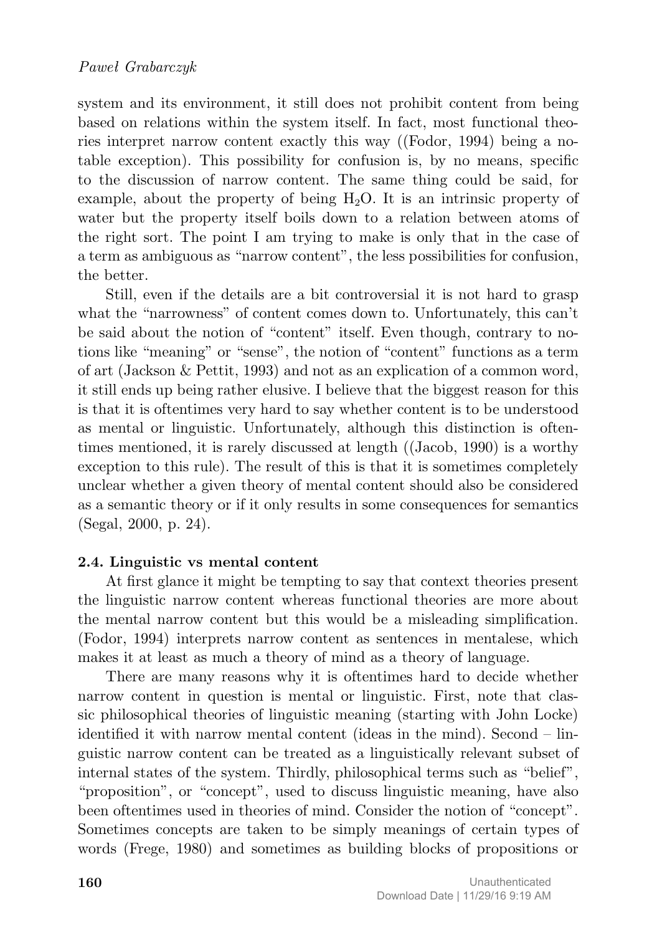system and its environment, it still does not prohibit content from being based on relations within the system itself. In fact, most functional theories interpret narrow content exactly this way ((Fodor, 1994) being a notable exception). This possibility for confusion is, by no means, specific to the discussion of narrow content. The same thing could be said, for example, about the property of being  $H_2O$ . It is an intrinsic property of water but the property itself boils down to a relation between atoms of the right sort. The point I am trying to make is only that in the case of a term as ambiguous as "narrow content", the less possibilities for confusion, the better.

Still, even if the details are a bit controversial it is not hard to grasp what the "narrowness" of content comes down to. Unfortunately, this can't be said about the notion of "content" itself. Even though, contrary to notions like "meaning" or "sense", the notion of "content" functions as a term of art (Jackson & Pettit, 1993) and not as an explication of a common word, it still ends up being rather elusive. I believe that the biggest reason for this is that it is oftentimes very hard to say whether content is to be understood as mental or linguistic. Unfortunately, although this distinction is oftentimes mentioned, it is rarely discussed at length ((Jacob, 1990) is a worthy exception to this rule). The result of this is that it is sometimes completely unclear whether a given theory of mental content should also be considered as a semantic theory or if it only results in some consequences for semantics (Segal, 2000, p. 24).

## **2.4. Linguistic vs mental content**

At first glance it might be tempting to say that context theories present the linguistic narrow content whereas functional theories are more about the mental narrow content but this would be a misleading simplification. (Fodor, 1994) interprets narrow content as sentences in mentalese, which makes it at least as much a theory of mind as a theory of language.

There are many reasons why it is oftentimes hard to decide whether narrow content in question is mental or linguistic. First, note that classic philosophical theories of linguistic meaning (starting with John Locke) identified it with narrow mental content (ideas in the mind). Second – linguistic narrow content can be treated as a linguistically relevant subset of internal states of the system. Thirdly, philosophical terms such as "belief", "proposition", or "concept", used to discuss linguistic meaning, have also been oftentimes used in theories of mind. Consider the notion of "concept". Sometimes concepts are taken to be simply meanings of certain types of words (Frege, 1980) and sometimes as building blocks of propositions or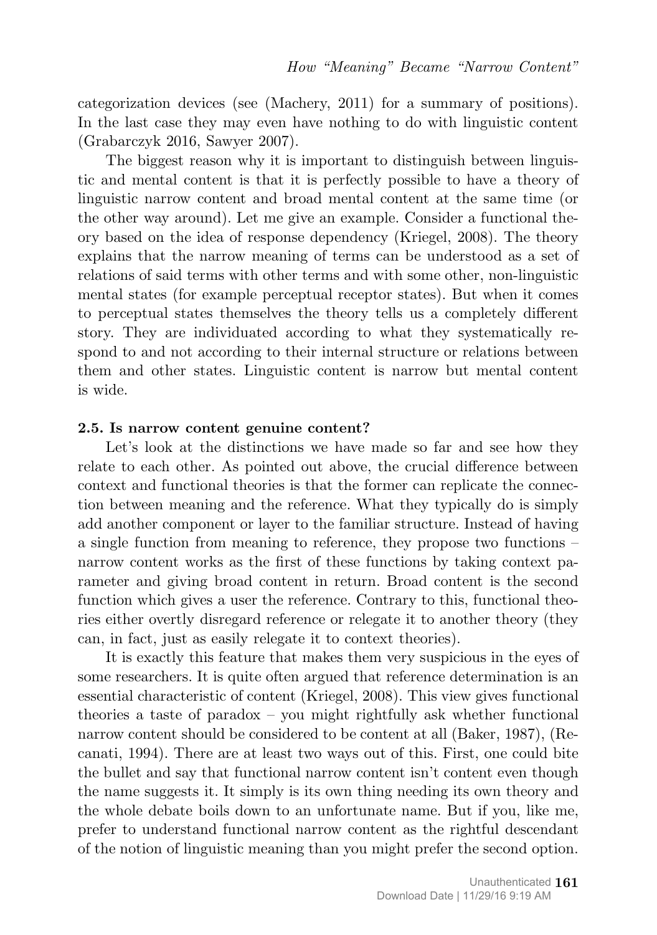categorization devices (see (Machery, 2011) for a summary of positions). In the last case they may even have nothing to do with linguistic content (Grabarczyk 2016, Sawyer 2007).

The biggest reason why it is important to distinguish between linguistic and mental content is that it is perfectly possible to have a theory of linguistic narrow content and broad mental content at the same time (or the other way around). Let me give an example. Consider a functional theory based on the idea of response dependency (Kriegel, 2008). The theory explains that the narrow meaning of terms can be understood as a set of relations of said terms with other terms and with some other, non-linguistic mental states (for example perceptual receptor states). But when it comes to perceptual states themselves the theory tells us a completely different story. They are individuated according to what they systematically respond to and not according to their internal structure or relations between them and other states. Linguistic content is narrow but mental content is wide.

#### **2.5. Is narrow content genuine content?**

Let's look at the distinctions we have made so far and see how they relate to each other. As pointed out above, the crucial difference between context and functional theories is that the former can replicate the connection between meaning and the reference. What they typically do is simply add another component or layer to the familiar structure. Instead of having a single function from meaning to reference, they propose two functions – narrow content works as the first of these functions by taking context parameter and giving broad content in return. Broad content is the second function which gives a user the reference. Contrary to this, functional theories either overtly disregard reference or relegate it to another theory (they can, in fact, just as easily relegate it to context theories).

It is exactly this feature that makes them very suspicious in the eyes of some researchers. It is quite often argued that reference determination is an essential characteristic of content (Kriegel, 2008). This view gives functional theories a taste of paradox – you might rightfully ask whether functional narrow content should be considered to be content at all (Baker, 1987), (Recanati, 1994). There are at least two ways out of this. First, one could bite the bullet and say that functional narrow content isn't content even though the name suggests it. It simply is its own thing needing its own theory and the whole debate boils down to an unfortunate name. But if you, like me, prefer to understand functional narrow content as the rightful descendant of the notion of linguistic meaning than you might prefer the second option.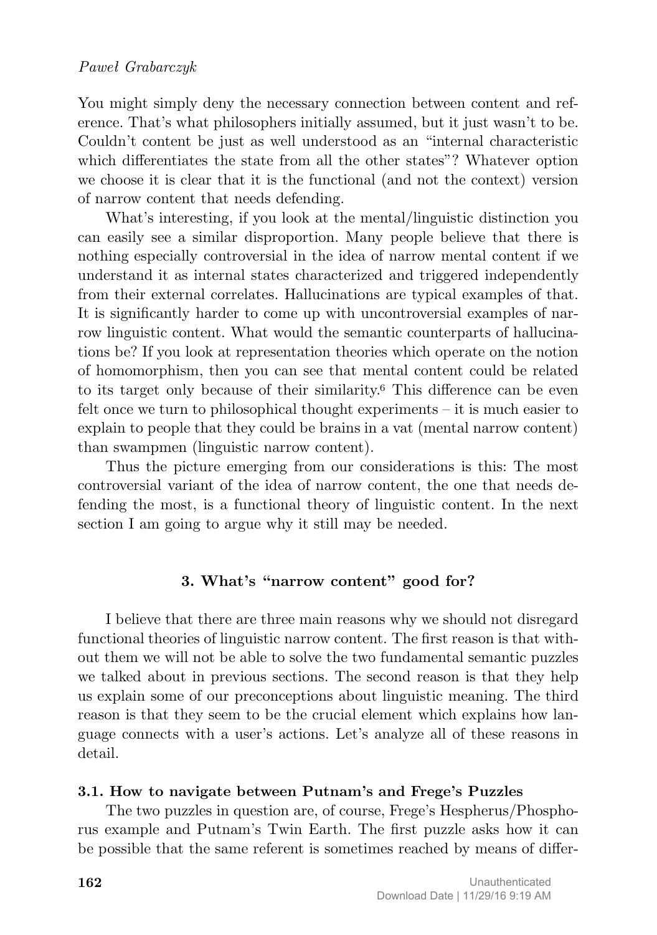You might simply deny the necessary connection between content and reference. That's what philosophers initially assumed, but it just wasn't to be. Couldn't content be just as well understood as an "internal characteristic which differentiates the state from all the other states"? Whatever option we choose it is clear that it is the functional (and not the context) version of narrow content that needs defending.

What's interesting, if you look at the mental/linguistic distinction you can easily see a similar disproportion. Many people believe that there is nothing especially controversial in the idea of narrow mental content if we understand it as internal states characterized and triggered independently from their external correlates. Hallucinations are typical examples of that. It is significantly harder to come up with uncontroversial examples of narrow linguistic content. What would the semantic counterparts of hallucinations be? If you look at representation theories which operate on the notion of homomorphism, then you can see that mental content could be related to its target only because of their similarity.<sup>6</sup> This difference can be even felt once we turn to philosophical thought experiments – it is much easier to explain to people that they could be brains in a vat (mental narrow content) than swampmen (linguistic narrow content).

Thus the picture emerging from our considerations is this: The most controversial variant of the idea of narrow content, the one that needs defending the most, is a functional theory of linguistic content. In the next section I am going to argue why it still may be needed.

## **3. What's "narrow content" good for?**

I believe that there are three main reasons why we should not disregard functional theories of linguistic narrow content. The first reason is that without them we will not be able to solve the two fundamental semantic puzzles we talked about in previous sections. The second reason is that they help us explain some of our preconceptions about linguistic meaning. The third reason is that they seem to be the crucial element which explains how language connects with a user's actions. Let's analyze all of these reasons in detail.

## **3.1. How to navigate between Putnam's and Frege's Puzzles**

The two puzzles in question are, of course, Frege's Hespherus/Phosphorus example and Putnam's Twin Earth. The first puzzle asks how it can be possible that the same referent is sometimes reached by means of differ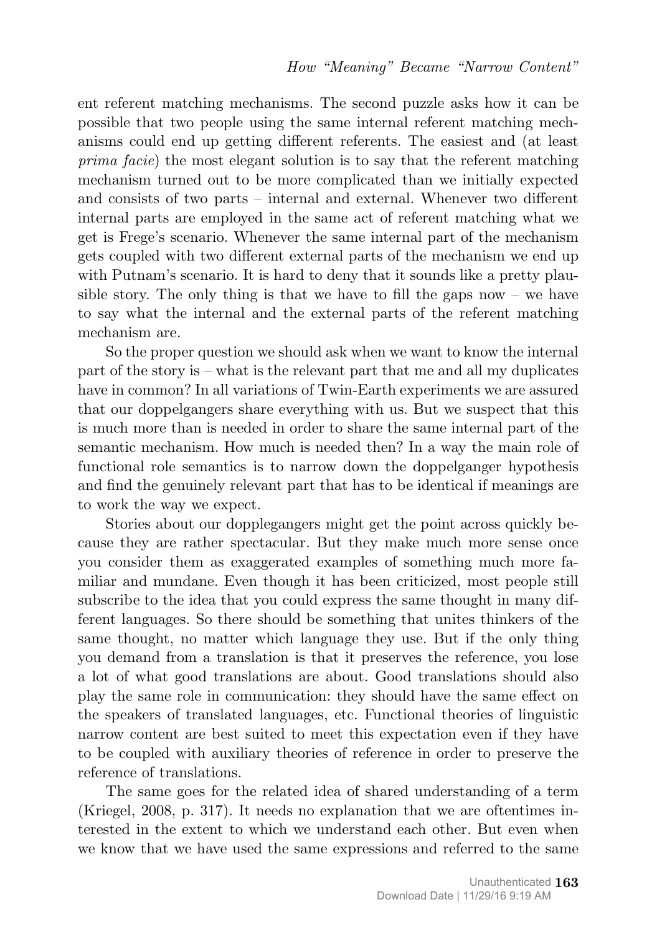ent referent matching mechanisms. The second puzzle asks how it can be possible that two people using the same internal referent matching mechanisms could end up getting different referents. The easiest and (at least *prima facie*) the most elegant solution is to say that the referent matching mechanism turned out to be more complicated than we initially expected and consists of two parts – internal and external. Whenever two different internal parts are employed in the same act of referent matching what we get is Frege's scenario. Whenever the same internal part of the mechanism gets coupled with two different external parts of the mechanism we end up with Putnam's scenario. It is hard to deny that it sounds like a pretty plausible story. The only thing is that we have to fill the gaps now – we have to say what the internal and the external parts of the referent matching mechanism are.

So the proper question we should ask when we want to know the internal part of the story is – what is the relevant part that me and all my duplicates have in common? In all variations of Twin-Earth experiments we are assured that our doppelgangers share everything with us. But we suspect that this is much more than is needed in order to share the same internal part of the semantic mechanism. How much is needed then? In a way the main role of functional role semantics is to narrow down the doppelganger hypothesis and find the genuinely relevant part that has to be identical if meanings are to work the way we expect.

Stories about our dopplegangers might get the point across quickly because they are rather spectacular. But they make much more sense once you consider them as exaggerated examples of something much more familiar and mundane. Even though it has been criticized, most people still subscribe to the idea that you could express the same thought in many different languages. So there should be something that unites thinkers of the same thought, no matter which language they use. But if the only thing you demand from a translation is that it preserves the reference, you lose a lot of what good translations are about. Good translations should also play the same role in communication: they should have the same effect on the speakers of translated languages, etc. Functional theories of linguistic narrow content are best suited to meet this expectation even if they have to be coupled with auxiliary theories of reference in order to preserve the reference of translations.

The same goes for the related idea of shared understanding of a term (Kriegel, 2008, p. 317). It needs no explanation that we are oftentimes interested in the extent to which we understand each other. But even when we know that we have used the same expressions and referred to the same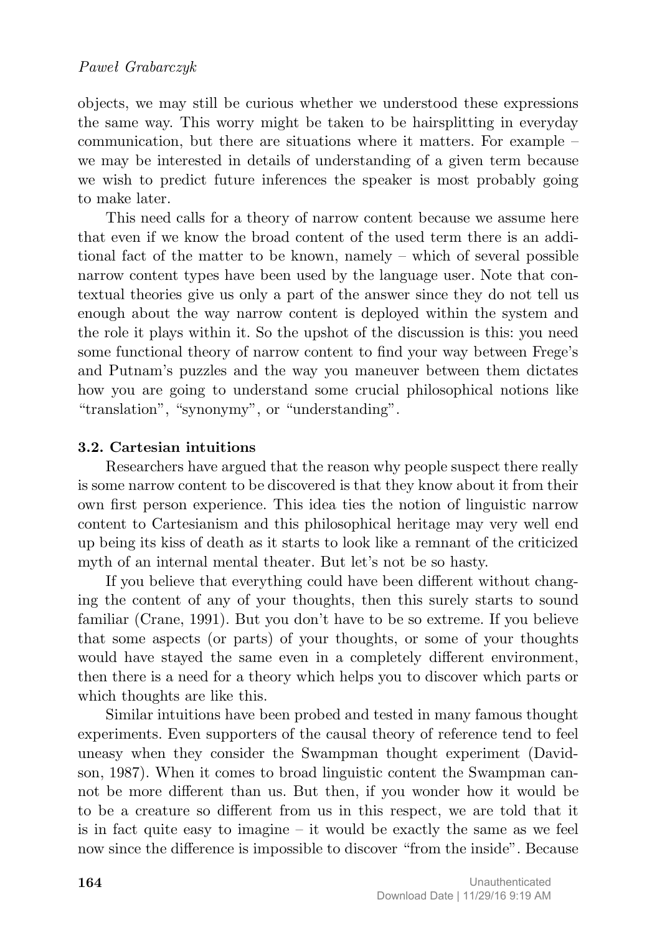objects, we may still be curious whether we understood these expressions the same way. This worry might be taken to be hairsplitting in everyday communication, but there are situations where it matters. For example – we may be interested in details of understanding of a given term because we wish to predict future inferences the speaker is most probably going to make later.

This need calls for a theory of narrow content because we assume here that even if we know the broad content of the used term there is an additional fact of the matter to be known, namely – which of several possible narrow content types have been used by the language user. Note that contextual theories give us only a part of the answer since they do not tell us enough about the way narrow content is deployed within the system and the role it plays within it. So the upshot of the discussion is this: you need some functional theory of narrow content to find your way between Frege's and Putnam's puzzles and the way you maneuver between them dictates how you are going to understand some crucial philosophical notions like "translation", "synonymy", or "understanding".

## **3.2. Cartesian intuitions**

Researchers have argued that the reason why people suspect there really is some narrow content to be discovered is that they know about it from their own first person experience. This idea ties the notion of linguistic narrow content to Cartesianism and this philosophical heritage may very well end up being its kiss of death as it starts to look like a remnant of the criticized myth of an internal mental theater. But let's not be so hasty.

If you believe that everything could have been different without changing the content of any of your thoughts, then this surely starts to sound familiar (Crane, 1991). But you don't have to be so extreme. If you believe that some aspects (or parts) of your thoughts, or some of your thoughts would have stayed the same even in a completely different environment, then there is a need for a theory which helps you to discover which parts or which thoughts are like this.

Similar intuitions have been probed and tested in many famous thought experiments. Even supporters of the causal theory of reference tend to feel uneasy when they consider the Swampman thought experiment (Davidson, 1987). When it comes to broad linguistic content the Swampman cannot be more different than us. But then, if you wonder how it would be to be a creature so different from us in this respect, we are told that it is in fact quite easy to imagine  $-$  it would be exactly the same as we feel now since the difference is impossible to discover "from the inside". Because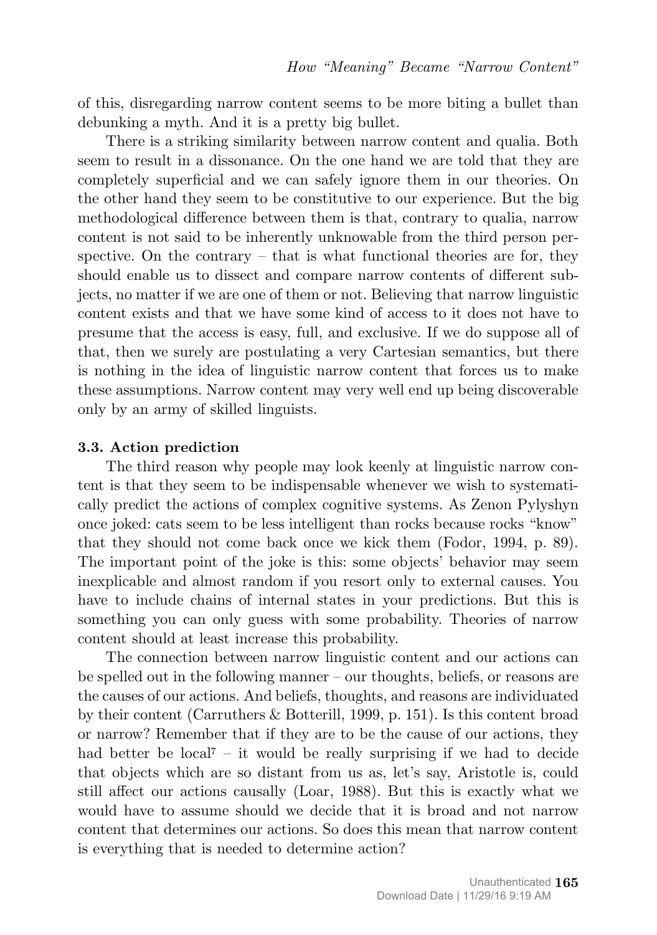of this, disregarding narrow content seems to be more biting a bullet than debunking a myth. And it is a pretty big bullet.

There is a striking similarity between narrow content and qualia. Both seem to result in a dissonance. On the one hand we are told that they are completely superficial and we can safely ignore them in our theories. On the other hand they seem to be constitutive to our experience. But the big methodological difference between them is that, contrary to qualia, narrow content is not said to be inherently unknowable from the third person perspective. On the contrary  $-$  that is what functional theories are for, they should enable us to dissect and compare narrow contents of different subjects, no matter if we are one of them or not. Believing that narrow linguistic content exists and that we have some kind of access to it does not have to presume that the access is easy, full, and exclusive. If we do suppose all of that, then we surely are postulating a very Cartesian semantics, but there is nothing in the idea of linguistic narrow content that forces us to make these assumptions. Narrow content may very well end up being discoverable only by an army of skilled linguists.

#### **3.3. Action prediction**

The third reason why people may look keenly at linguistic narrow content is that they seem to be indispensable whenever we wish to systematically predict the actions of complex cognitive systems. As Zenon Pylyshyn once joked: cats seem to be less intelligent than rocks because rocks "know" that they should not come back once we kick them (Fodor, 1994, p. 89). The important point of the joke is this: some objects' behavior may seem inexplicable and almost random if you resort only to external causes. You have to include chains of internal states in your predictions. But this is something you can only guess with some probability. Theories of narrow content should at least increase this probability.

The connection between narrow linguistic content and our actions can be spelled out in the following manner – our thoughts, beliefs, or reasons are the causes of our actions. And beliefs, thoughts, and reasons are individuated by their content (Carruthers & Botterill, 1999, p. 151). Is this content broad or narrow? Remember that if they are to be the cause of our actions, they had better be local<sup> $7 - it$ </sup> would be really surprising if we had to decide that objects which are so distant from us as, let's say, Aristotle is, could still affect our actions causally (Loar, 1988). But this is exactly what we would have to assume should we decide that it is broad and not narrow content that determines our actions. So does this mean that narrow content is everything that is needed to determine action?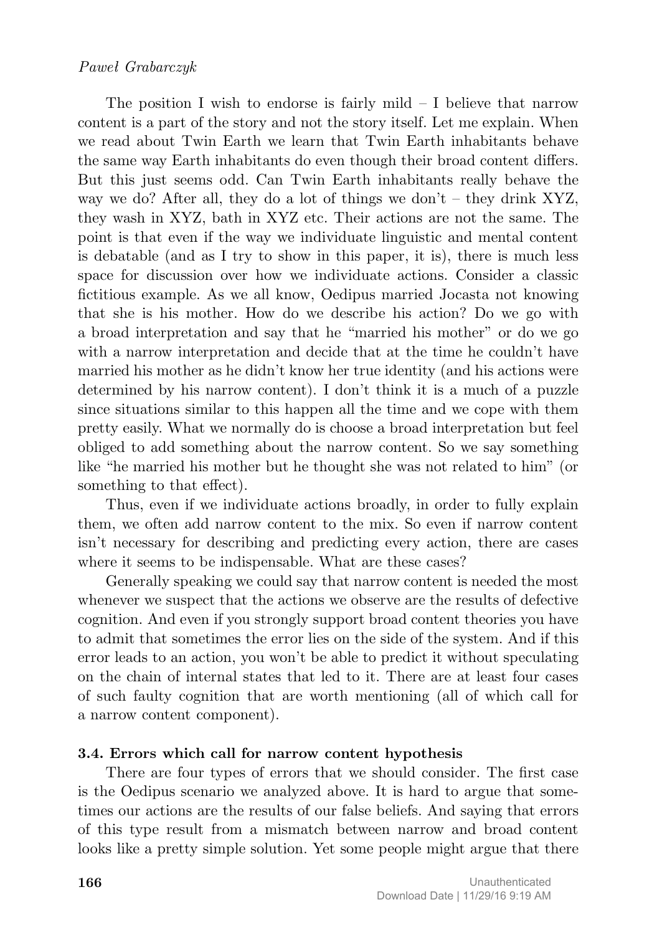### *Paweł Grabarczyk*

The position I wish to endorse is fairly mild  $-$  I believe that narrow content is a part of the story and not the story itself. Let me explain. When we read about Twin Earth we learn that Twin Earth inhabitants behave the same way Earth inhabitants do even though their broad content differs. But this just seems odd. Can Twin Earth inhabitants really behave the way we do? After all, they do a lot of things we don't – they drink XYZ, they wash in XYZ, bath in XYZ etc. Their actions are not the same. The point is that even if the way we individuate linguistic and mental content is debatable (and as I try to show in this paper, it is), there is much less space for discussion over how we individuate actions. Consider a classic fictitious example. As we all know, Oedipus married Jocasta not knowing that she is his mother. How do we describe his action? Do we go with a broad interpretation and say that he "married his mother" or do we go with a narrow interpretation and decide that at the time he couldn't have married his mother as he didn't know her true identity (and his actions were determined by his narrow content). I don't think it is a much of a puzzle since situations similar to this happen all the time and we cope with them pretty easily. What we normally do is choose a broad interpretation but feel obliged to add something about the narrow content. So we say something like "he married his mother but he thought she was not related to him" (or something to that effect).

Thus, even if we individuate actions broadly, in order to fully explain them, we often add narrow content to the mix. So even if narrow content isn't necessary for describing and predicting every action, there are cases where it seems to be indispensable. What are these cases?

Generally speaking we could say that narrow content is needed the most whenever we suspect that the actions we observe are the results of defective cognition. And even if you strongly support broad content theories you have to admit that sometimes the error lies on the side of the system. And if this error leads to an action, you won't be able to predict it without speculating on the chain of internal states that led to it. There are at least four cases of such faulty cognition that are worth mentioning (all of which call for a narrow content component).

### **3.4. Errors which call for narrow content hypothesis**

There are four types of errors that we should consider. The first case is the Oedipus scenario we analyzed above. It is hard to argue that sometimes our actions are the results of our false beliefs. And saying that errors of this type result from a mismatch between narrow and broad content looks like a pretty simple solution. Yet some people might argue that there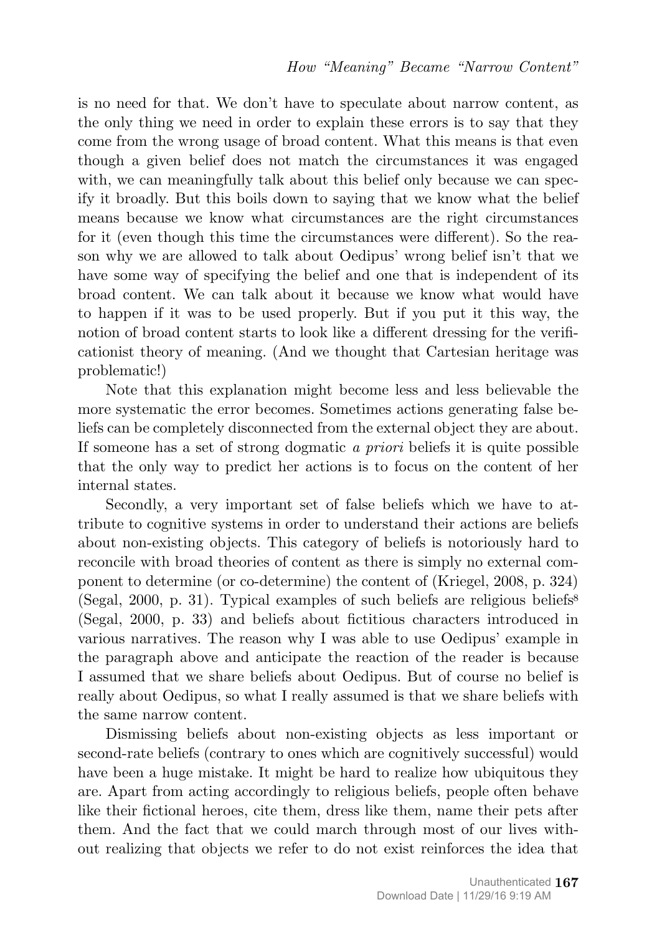is no need for that. We don't have to speculate about narrow content, as the only thing we need in order to explain these errors is to say that they come from the wrong usage of broad content. What this means is that even though a given belief does not match the circumstances it was engaged with, we can meaningfully talk about this belief only because we can specify it broadly. But this boils down to saying that we know what the belief means because we know what circumstances are the right circumstances for it (even though this time the circumstances were different). So the reason why we are allowed to talk about Oedipus' wrong belief isn't that we have some way of specifying the belief and one that is independent of its broad content. We can talk about it because we know what would have to happen if it was to be used properly. But if you put it this way, the notion of broad content starts to look like a different dressing for the verificationist theory of meaning. (And we thought that Cartesian heritage was problematic!)

Note that this explanation might become less and less believable the more systematic the error becomes. Sometimes actions generating false beliefs can be completely disconnected from the external object they are about. If someone has a set of strong dogmatic *a priori* beliefs it is quite possible that the only way to predict her actions is to focus on the content of her internal states.

Secondly, a very important set of false beliefs which we have to attribute to cognitive systems in order to understand their actions are beliefs about non-existing objects. This category of beliefs is notoriously hard to reconcile with broad theories of content as there is simply no external component to determine (or co-determine) the content of (Kriegel, 2008, p. 324) (Segal, 2000, p. 31). Typical examples of such beliefs are religious beliefs<sup>8</sup> (Segal, 2000, p. 33) and beliefs about fictitious characters introduced in various narratives. The reason why I was able to use Oedipus' example in the paragraph above and anticipate the reaction of the reader is because I assumed that we share beliefs about Oedipus. But of course no belief is really about Oedipus, so what I really assumed is that we share beliefs with the same narrow content.

Dismissing beliefs about non-existing objects as less important or second-rate beliefs (contrary to ones which are cognitively successful) would have been a huge mistake. It might be hard to realize how ubiquitous they are. Apart from acting accordingly to religious beliefs, people often behave like their fictional heroes, cite them, dress like them, name their pets after them. And the fact that we could march through most of our lives without realizing that objects we refer to do not exist reinforces the idea that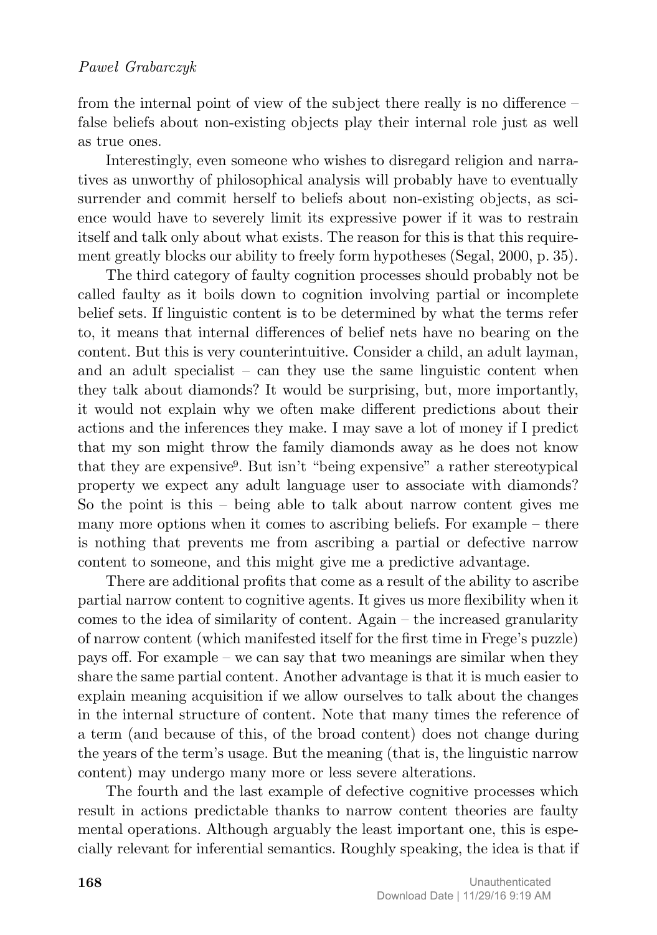from the internal point of view of the subject there really is no difference – false beliefs about non-existing objects play their internal role just as well as true ones.

Interestingly, even someone who wishes to disregard religion and narratives as unworthy of philosophical analysis will probably have to eventually surrender and commit herself to beliefs about non-existing objects, as science would have to severely limit its expressive power if it was to restrain itself and talk only about what exists. The reason for this is that this requirement greatly blocks our ability to freely form hypotheses (Segal, 2000, p. 35).

The third category of faulty cognition processes should probably not be called faulty as it boils down to cognition involving partial or incomplete belief sets. If linguistic content is to be determined by what the terms refer to, it means that internal differences of belief nets have no bearing on the content. But this is very counterintuitive. Consider a child, an adult layman, and an adult specialist – can they use the same linguistic content when they talk about diamonds? It would be surprising, but, more importantly, it would not explain why we often make different predictions about their actions and the inferences they make. I may save a lot of money if I predict that my son might throw the family diamonds away as he does not know that they are expensive9. But isn't "being expensive" a rather stereotypical property we expect any adult language user to associate with diamonds? So the point is this – being able to talk about narrow content gives me many more options when it comes to ascribing beliefs. For example – there is nothing that prevents me from ascribing a partial or defective narrow content to someone, and this might give me a predictive advantage.

There are additional profits that come as a result of the ability to ascribe partial narrow content to cognitive agents. It gives us more flexibility when it comes to the idea of similarity of content. Again – the increased granularity of narrow content (which manifested itself for the first time in Frege's puzzle) pays off. For example – we can say that two meanings are similar when they share the same partial content. Another advantage is that it is much easier to explain meaning acquisition if we allow ourselves to talk about the changes in the internal structure of content. Note that many times the reference of a term (and because of this, of the broad content) does not change during the years of the term's usage. But the meaning (that is, the linguistic narrow content) may undergo many more or less severe alterations.

The fourth and the last example of defective cognitive processes which result in actions predictable thanks to narrow content theories are faulty mental operations. Although arguably the least important one, this is especially relevant for inferential semantics. Roughly speaking, the idea is that if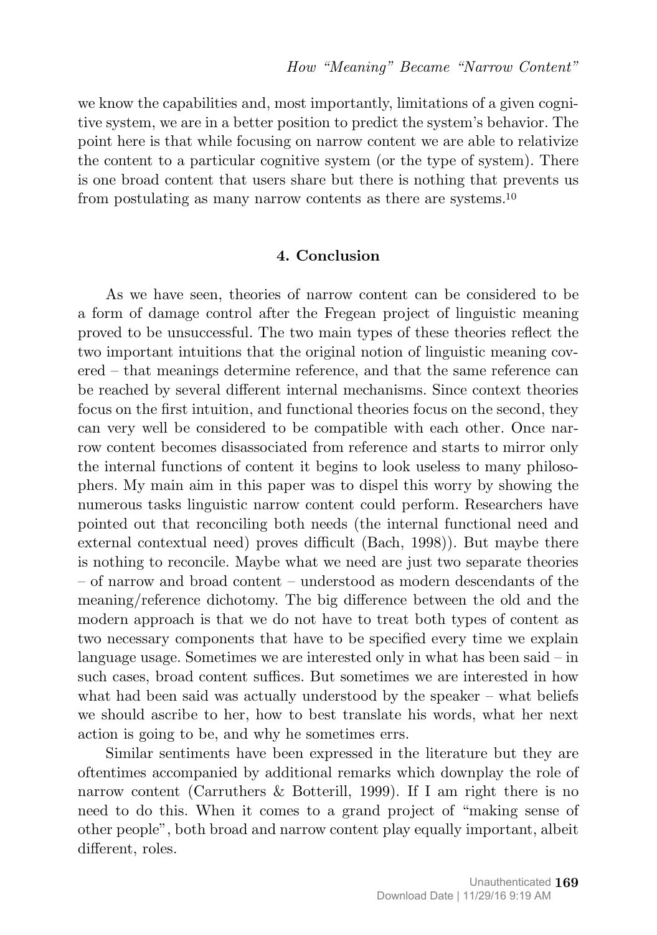we know the capabilities and, most importantly, limitations of a given cognitive system, we are in a better position to predict the system's behavior. The point here is that while focusing on narrow content we are able to relativize the content to a particular cognitive system (or the type of system). There is one broad content that users share but there is nothing that prevents us from postulating as many narrow contents as there are systems.<sup>10</sup>

#### **4. Conclusion**

As we have seen, theories of narrow content can be considered to be a form of damage control after the Fregean project of linguistic meaning proved to be unsuccessful. The two main types of these theories reflect the two important intuitions that the original notion of linguistic meaning covered – that meanings determine reference, and that the same reference can be reached by several different internal mechanisms. Since context theories focus on the first intuition, and functional theories focus on the second, they can very well be considered to be compatible with each other. Once narrow content becomes disassociated from reference and starts to mirror only the internal functions of content it begins to look useless to many philosophers. My main aim in this paper was to dispel this worry by showing the numerous tasks linguistic narrow content could perform. Researchers have pointed out that reconciling both needs (the internal functional need and external contextual need) proves difficult (Bach, 1998)). But maybe there is nothing to reconcile. Maybe what we need are just two separate theories – of narrow and broad content – understood as modern descendants of the meaning/reference dichotomy. The big difference between the old and the modern approach is that we do not have to treat both types of content as two necessary components that have to be specified every time we explain language usage. Sometimes we are interested only in what has been said – in such cases, broad content suffices. But sometimes we are interested in how what had been said was actually understood by the speaker – what beliefs we should ascribe to her, how to best translate his words, what her next action is going to be, and why he sometimes errs.

Similar sentiments have been expressed in the literature but they are oftentimes accompanied by additional remarks which downplay the role of narrow content (Carruthers & Botterill, 1999). If I am right there is no need to do this. When it comes to a grand project of "making sense of other people", both broad and narrow content play equally important, albeit different, roles.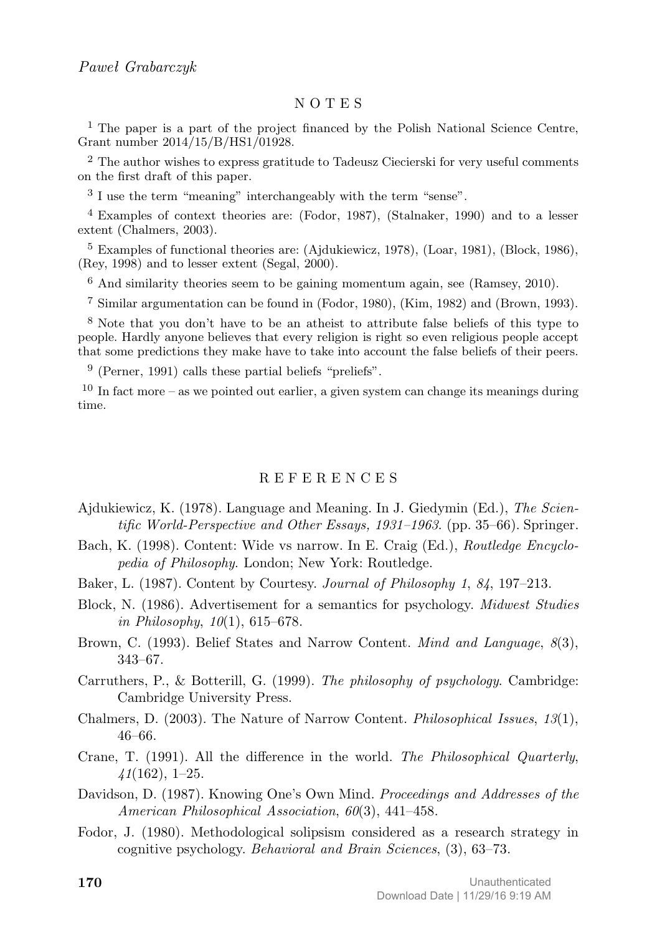#### N O T E S

<sup>1</sup> The paper is a part of the project financed by the Polish National Science Centre, Grant number 2014/15/B/HS1/01928.

<sup>2</sup> The author wishes to express gratitude to Tadeusz Ciecierski for very useful comments on the first draft of this paper.

<sup>3</sup> I use the term "meaning" interchangeably with the term "sense".

<sup>4</sup> Examples of context theories are: (Fodor, 1987), (Stalnaker, 1990) and to a lesser extent (Chalmers, 2003).

<sup>5</sup> Examples of functional theories are: (Ajdukiewicz, 1978), (Loar, 1981), (Block, 1986), (Rey, 1998) and to lesser extent (Segal, 2000).

 $6$  And similarity theories seem to be gaining momentum again, see (Ramsey, 2010).

7 Similar argumentation can be found in (Fodor, 1980), (Kim, 1982) and (Brown, 1993).

8 Note that you don't have to be an atheist to attribute false beliefs of this type to people. Hardly anyone believes that every religion is right so even religious people accept that some predictions they make have to take into account the false beliefs of their peers.

9 (Perner, 1991) calls these partial beliefs "preliefs".

 $10$  In fact more – as we pointed out earlier, a given system can change its meanings during time.

#### R E F E R E N C E S

- Ajdukiewicz, K. (1978). Language and Meaning. In J. Giedymin (Ed.), *The Scientific World-Perspective and Other Essays, 1931–1963*. (pp. 35–66). Springer.
- Bach, K. (1998). Content: Wide vs narrow. In E. Craig (Ed.), *Routledge Encyclopedia of Philosophy*. London; New York: Routledge.
- Baker, L. (1987). Content by Courtesy. *Journal of Philosophy 1*, *84*, 197–213.
- Block, N. (1986). Advertisement for a semantics for psychology. *Midwest Studies in Philosophy*, *10*(1), 615–678.
- Brown, C. (1993). Belief States and Narrow Content. *Mind and Language*, *8*(3), 343–67.
- Carruthers, P., & Botterill, G. (1999). *The philosophy of psychology*. Cambridge: Cambridge University Press.
- Chalmers, D. (2003). The Nature of Narrow Content. *Philosophical Issues*, *13*(1), 46–66.
- Crane, T. (1991). All the difference in the world. *The Philosophical Quarterly*, *41*(162), 1–25.
- Davidson, D. (1987). Knowing One's Own Mind. *Proceedings and Addresses of the American Philosophical Association*, *60*(3), 441–458.
- Fodor, J. (1980). Methodological solipsism considered as a research strategy in cognitive psychology. *Behavioral and Brain Sciences*, (3), 63–73.